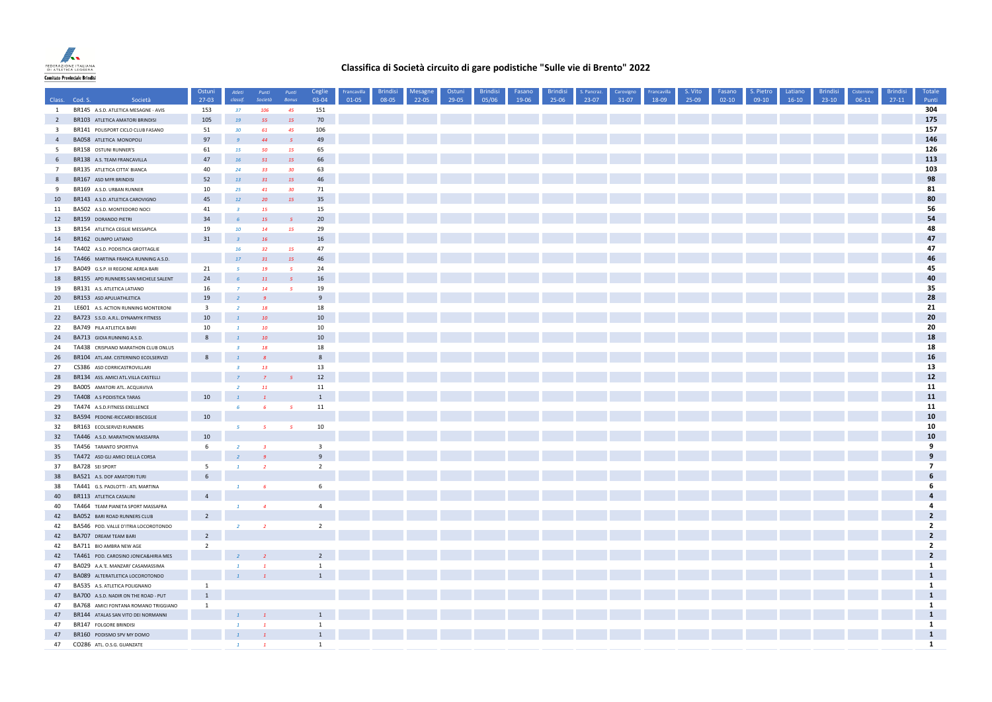

## **Classifica di Società circuito di gare podistiche "Sulle vie di Brento" 2022**

|                         | Class. Cod. S.<br>Società                                             | Ostuni<br>$27-03$       | Atleti<br>classif.    | Punti<br>Società        | Punti<br>Bonus        | Ceglie<br>03-04         | Francavilla<br>01-05 | <b>Brindisi</b><br>08-05 | Mesagne<br>$22-05$ | Ostuni<br>29-05 | <b>Brindisi</b><br>05/06 | Fasano<br>19-06 | <b>Brindisi</b><br>25-06 | S. Pancraz.<br>23-07 | Carovigno<br>$31-07$ | Francavilla<br>18-09 | S. Vito<br>25-09 | Fasano<br>$02-10$ | S. Pietro<br>$09-10$ | Latiano<br>$16-10$ | <b>Brindisi</b><br>$23-10$ | Cisternino<br>$06-11$ | Brindisi<br>$27-11$ | Totale<br>Punti |
|-------------------------|-----------------------------------------------------------------------|-------------------------|-----------------------|-------------------------|-----------------------|-------------------------|----------------------|--------------------------|--------------------|-----------------|--------------------------|-----------------|--------------------------|----------------------|----------------------|----------------------|------------------|-------------------|----------------------|--------------------|----------------------------|-----------------------|---------------------|-----------------|
| $\mathbf{1}$            | BR145 A.S.D. ATLETICA MESAGNE - AVIS                                  | 153                     | 37 <sub>z</sub>       | 106                     | 45                    | 151                     |                      |                          |                    |                 |                          |                 |                          |                      |                      |                      |                  |                   |                      |                    |                            |                       |                     | 304             |
| $\overline{2}$          | BR103 ATLETICA AMATORI BRINDISI                                       | 105                     | 19                    | 55                      | <b>15</b>             | 70                      |                      |                          |                    |                 |                          |                 |                          |                      |                      |                      |                  |                   |                      |                    |                            |                       |                     | 175             |
| $\overline{\mathbf{3}}$ | BR141 POLISPORT CICLO CLUB FASANO                                     | 51                      | 30 <sub>2</sub>       | 61                      | 45                    | 106                     |                      |                          |                    |                 |                          |                 |                          |                      |                      |                      |                  |                   |                      |                    |                            |                       |                     | 157             |
| $\sqrt{4}$              | <b>BA058 ATLETICA MONOPOLI</b>                                        | 97                      | $\mathcal{G}$         | 44                      | $\sqrt{5}$            | 49                      |                      |                          |                    |                 |                          |                 |                          |                      |                      |                      |                  |                   |                      |                    |                            |                       |                     | 146             |
| 5                       | BR158 OSTUNI RUNNER'S                                                 | 61                      | 15                    | 50                      | <b>15</b>             | 65                      |                      |                          |                    |                 |                          |                 |                          |                      |                      |                      |                  |                   |                      |                    |                            |                       |                     | 126             |
| 6                       | BR138 A.S. TEAM FRANCAVILLA                                           | 47                      | 16                    | 51                      | <b>15</b>             | 66                      |                      |                          |                    |                 |                          |                 |                          |                      |                      |                      |                  |                   |                      |                    |                            |                       |                     | 113             |
| $7\overline{ }$         | BR135 ATLETICA CITTA' BIANCA                                          | 40                      | 24                    | 33 <sup>°</sup>         | 30 <sub>2</sub>       | 63                      |                      |                          |                    |                 |                          |                 |                          |                      |                      |                      |                  |                   |                      |                    |                            |                       |                     | 103             |
| 8                       | BR167 ASD MFR BRINDISI                                                | 52                      |                       |                         |                       | 46                      |                      |                          |                    |                 |                          |                 |                          |                      |                      |                      |                  |                   |                      |                    |                            |                       |                     | 98              |
|                         |                                                                       |                         | 13                    | 31                      | <b>15</b>             | 71                      |                      |                          |                    |                 |                          |                 |                          |                      |                      |                      |                  |                   |                      |                    |                            |                       |                     | 81              |
| 9                       | BR169 A.S.D. URBAN RUNNER                                             | 10<br>45                | 25<br>12 <sup>°</sup> | 41                      | 30 <sub>2</sub><br>15 | 35                      |                      |                          |                    |                 |                          |                 |                          |                      |                      |                      |                  |                   |                      |                    |                            |                       |                     | 80              |
| $10\,$                  | BR143 A.S.D. ATLETICA CAROVIGNO                                       |                         |                       | 20                      |                       | 15                      |                      |                          |                    |                 |                          |                 |                          |                      |                      |                      |                  |                   |                      |                    |                            |                       |                     | 56              |
| 11                      | BA502 A.S.D. MONTEDORO NOCI                                           | 41                      | $\overline{3}$        | <b>15</b>               |                       |                         |                      |                          |                    |                 |                          |                 |                          |                      |                      |                      |                  |                   |                      |                    |                            |                       |                     | 54              |
| 12                      | BR159 DORANDO PIETRI                                                  | 34                      | 6                     | 15                      | $\sqrt{5}$            | 20                      |                      |                          |                    |                 |                          |                 |                          |                      |                      |                      |                  |                   |                      |                    |                            |                       |                     |                 |
| 13                      | BR154 ATLETICA CEGLIE MESSAPICA                                       | 19                      | 10                    | 14                      | <b>15</b>             | 29                      |                      |                          |                    |                 |                          |                 |                          |                      |                      |                      |                  |                   |                      |                    |                            |                       |                     | 48              |
| 14                      | BR162 OLIMPO LATIANO                                                  | 31                      | $\overline{3}$        | 16                      |                       | 16                      |                      |                          |                    |                 |                          |                 |                          |                      |                      |                      |                  |                   |                      |                    |                            |                       |                     | 47              |
| 14                      | TA402 A.S.D. PODISTICA GROTTAGLIE                                     |                         | 16                    | 32                      | 15                    | 47                      |                      |                          |                    |                 |                          |                 |                          |                      |                      |                      |                  |                   |                      |                    |                            |                       |                     | 47              |
| 16                      | TA466 MARTINA FRANCA RUNNING A.S.D.                                   |                         | 17                    | 31                      | 15                    | 46                      |                      |                          |                    |                 |                          |                 |                          |                      |                      |                      |                  |                   |                      |                    |                            |                       |                     | 46              |
| 17                      | BA049 G.S.P. III REGIONE AEREA BARI                                   | 21                      | 5                     | 19                      | $\overline{5}$        | 24                      |                      |                          |                    |                 |                          |                 |                          |                      |                      |                      |                  |                   |                      |                    |                            |                       |                     | 45              |
| 18                      | BR155 APD RUNNERS SAN MICHELE SALENT                                  | 24                      | 6 <sup>5</sup>        | <b>11</b>               | $\overline{5}$        | 16                      |                      |                          |                    |                 |                          |                 |                          |                      |                      |                      |                  |                   |                      |                    |                            |                       |                     | 40              |
| 19                      | BR131 A.S. ATLETICA LATIANO                                           | 16                      | $\overline{7}$        | 14                      | $\sqrt{5}$            | 19                      |                      |                          |                    |                 |                          |                 |                          |                      |                      |                      |                  |                   |                      |                    |                            |                       |                     | 35              |
| 20                      | BR153 ASD APULIATHLETICA                                              | 19                      |                       |                         |                       | 9                       |                      |                          |                    |                 |                          |                 |                          |                      |                      |                      |                  |                   |                      |                    |                            |                       |                     | 28              |
| 21                      | LE601 A.S. ACTION RUNNING MONTERONI                                   | $\overline{\mathbf{3}}$ | $\overline{2}$        | 18                      |                       | 18                      |                      |                          |                    |                 |                          |                 |                          |                      |                      |                      |                  |                   |                      |                    |                            |                       |                     | 21              |
| 22                      | BA723 S.S.D. A.R.L. DYNAMYK FITNESS                                   | 10                      |                       | 10                      |                       | 10                      |                      |                          |                    |                 |                          |                 |                          |                      |                      |                      |                  |                   |                      |                    |                            |                       |                     | 20              |
| 22                      | BA749 PILA ATLETICA BARI                                              | 10                      | $\tau$                | 10                      |                       | $10\,$                  |                      |                          |                    |                 |                          |                 |                          |                      |                      |                      |                  |                   |                      |                    |                            |                       |                     | 20              |
| 24                      | BA713 GIOIA RUNNING A.S.D.                                            | 8                       | $\mathbf{1}$          | 10                      |                       | 10                      |                      |                          |                    |                 |                          |                 |                          |                      |                      |                      |                  |                   |                      |                    |                            |                       |                     | 18              |
| 24                      | TA438 CRISPIANO MARATHON CLUB ONLUS                                   |                         | $\overline{3}$        | 18                      |                       | 18                      |                      |                          |                    |                 |                          |                 |                          |                      |                      |                      |                  |                   |                      |                    |                            |                       |                     | 18              |
| 26                      | BR104 ATL.AM. CISTERNINO ECOLSERVIZI                                  | 8                       | $\mathbf{1}$          | $\mathcal{R}$           |                       | $\mathbf{g}$            |                      |                          |                    |                 |                          |                 |                          |                      |                      |                      |                  |                   |                      |                    |                            |                       |                     | 16              |
| 27                      | CS386 ASD CORRICASTROVILLARI                                          |                         | $\overline{a}$        | 13                      |                       | 13                      |                      |                          |                    |                 |                          |                 |                          |                      |                      |                      |                  |                   |                      |                    |                            |                       |                     | 13              |
| 28                      | BR134 ASS. AMICI ATL.VILLA CASTELLI                                   |                         |                       |                         |                       | 12                      |                      |                          |                    |                 |                          |                 |                          |                      |                      |                      |                  |                   |                      |                    |                            |                       |                     | 12              |
| 29                      | BA005 AMATORI ATL. ACQUAVIVA                                          |                         | $\overline{2}$        | <b>11</b>               |                       | 11                      |                      |                          |                    |                 |                          |                 |                          |                      |                      |                      |                  |                   |                      |                    |                            |                       |                     | 11              |
| 29                      | TA408 A.S PODISTICA TARAS                                             | 10                      | $\mathbf{1}$          |                         |                       | $\mathbf{1}$            |                      |                          |                    |                 |                          |                 |                          |                      |                      |                      |                  |                   |                      |                    |                            |                       |                     | 11              |
| 29                      | TA474 A.S.D.FITNESS EXELLENCE                                         |                         | 6                     | -6                      | $\overline{5}$        | 11                      |                      |                          |                    |                 |                          |                 |                          |                      |                      |                      |                  |                   |                      |                    |                            |                       |                     | 11              |
| 32                      | BA594 PEDONE-RICCARDI BISCEGLIE                                       | 10                      |                       |                         |                       |                         |                      |                          |                    |                 |                          |                 |                          |                      |                      |                      |                  |                   |                      |                    |                            |                       |                     | 10              |
| 32                      | BR163 ECOLSERVIZI RUNNERS                                             |                         | 5                     | $\sqrt{5}$              | $\overline{5}$        | 10                      |                      |                          |                    |                 |                          |                 |                          |                      |                      |                      |                  |                   |                      |                    |                            |                       |                     | 10              |
| 32                      | TA446 A.S.D. MARATHON MASSAFRA                                        | 10                      |                       |                         |                       |                         |                      |                          |                    |                 |                          |                 |                          |                      |                      |                      |                  |                   |                      |                    |                            |                       |                     | 10              |
| 35                      | TA456 TARANTO SPORTIVA                                                | 6                       | $\overline{2}$        | $\overline{\mathbf{3}}$ |                       | $\overline{\mathbf{3}}$ |                      |                          |                    |                 |                          |                 |                          |                      |                      |                      |                  |                   |                      |                    |                            |                       |                     | 9               |
| 35                      | TA472 ASD GLI AMICI DELLA CORSA                                       |                         |                       |                         |                       | 9                       |                      |                          |                    |                 |                          |                 |                          |                      |                      |                      |                  |                   |                      |                    |                            |                       |                     | 9               |
| 37                      | BA728 SEI SPORT                                                       | -5                      | $\tau$                | $\overline{2}$          |                       | $\overline{2}$          |                      |                          |                    |                 |                          |                 |                          |                      |                      |                      |                  |                   |                      |                    |                            |                       |                     | 7               |
| 38                      | BA521 A.S. DOF AMATORI TURI                                           | 6                       |                       |                         |                       |                         |                      |                          |                    |                 |                          |                 |                          |                      |                      |                      |                  |                   |                      |                    |                            |                       |                     | 6               |
| 38                      | TA441 G.S. PAOLOTTI - ATL MARTINA                                     |                         | $\mathbf{1}$          | 6                       |                       | 6                       |                      |                          |                    |                 |                          |                 |                          |                      |                      |                      |                  |                   |                      |                    |                            |                       |                     | 6               |
| 40                      | BR113 ATLETICA CASALINI                                               | $\overline{4}$          |                       |                         |                       |                         |                      |                          |                    |                 |                          |                 |                          |                      |                      |                      |                  |                   |                      |                    |                            |                       |                     | $\overline{a}$  |
| 40                      | TA464 TEAM PIANETA SPORT MASSAFRA                                     |                         | $\mathbf{1}$          | $\overline{a}$          |                       | $\overline{4}$          |                      |                          |                    |                 |                          |                 |                          |                      |                      |                      |                  |                   |                      |                    |                            |                       |                     | 4               |
| 42                      | BA052 BARI ROAD RUNNERS CLUB                                          | $\overline{2}$          |                       |                         |                       |                         |                      |                          |                    |                 |                          |                 |                          |                      |                      |                      |                  |                   |                      |                    |                            |                       |                     | $\overline{2}$  |
| 42                      | BA546 POD. VALLE D'ITRIA LOCOROTONDO                                  |                         | $\overline{2}$        | $\overline{2}$          |                       | $\overline{2}$          |                      |                          |                    |                 |                          |                 |                          |                      |                      |                      |                  |                   |                      |                    |                            |                       |                     | $\overline{2}$  |
| 42                      | BA707 DREAM TEAM BARI                                                 | $\overline{2}$          |                       |                         |                       |                         |                      |                          |                    |                 |                          |                 |                          |                      |                      |                      |                  |                   |                      |                    |                            |                       |                     | $\overline{2}$  |
| 42                      | BA711 BIO AMBRA NEW AGE                                               | 2                       |                       |                         |                       |                         |                      |                          |                    |                 |                          |                 |                          |                      |                      |                      |                  |                   |                      |                    |                            |                       |                     | $\overline{2}$  |
| 42                      | TA461 POD. CAROSINO JONICA&HIRIA MES                                  |                         |                       |                         |                       | $2^{\circ}$             |                      |                          |                    |                 |                          |                 |                          |                      |                      |                      |                  |                   |                      |                    |                            |                       |                     | $\overline{2}$  |
| 47                      |                                                                       |                         |                       |                         |                       | $\mathbf{1}$            |                      |                          |                    |                 |                          |                 |                          |                      |                      |                      |                  |                   |                      |                    |                            |                       |                     | $\mathbf{1}$    |
| 47                      | BA029 A.A.'E. MANZARI' CASAMASSIMA<br>BA089 ALTERATLETICA LOCOROTONDO |                         | $\mathbf{1}$          | $\overline{1}$          |                       | $\mathbf{1}$            |                      |                          |                    |                 |                          |                 |                          |                      |                      |                      |                  |                   |                      |                    |                            |                       |                     | $\mathbf 1$     |
| 47                      |                                                                       | $\overline{1}$          |                       |                         |                       |                         |                      |                          |                    |                 |                          |                 |                          |                      |                      |                      |                  |                   |                      |                    |                            |                       |                     | $\mathbf{1}$    |
|                         | BA535 A.S. ATLETICA POLIGNANO                                         | 1                       |                       |                         |                       |                         |                      |                          |                    |                 |                          |                 |                          |                      |                      |                      |                  |                   |                      |                    |                            |                       |                     | $\mathbf{1}$    |
| 47                      | BA700 A.S.D. NADIR ON THE ROAD - PUT                                  |                         |                       |                         |                       |                         |                      |                          |                    |                 |                          |                 |                          |                      |                      |                      |                  |                   |                      |                    |                            |                       |                     | $\mathbf{1}$    |
| 47                      | BA768 AMICI FONTANA ROMANO TRIGGIANO                                  | 1                       |                       |                         |                       |                         |                      |                          |                    |                 |                          |                 |                          |                      |                      |                      |                  |                   |                      |                    |                            |                       |                     | $\mathbf{1}$    |
| 47                      | BR144 ATALAS SAN VITO DEI NORMANNI                                    |                         |                       |                         |                       | 1                       |                      |                          |                    |                 |                          |                 |                          |                      |                      |                      |                  |                   |                      |                    |                            |                       |                     |                 |
| 47                      | BR147 FOLGORE BRINDISI                                                |                         | $\tau$                | $\overline{1}$          |                       | $\mathbf{1}$            |                      |                          |                    |                 |                          |                 |                          |                      |                      |                      |                  |                   |                      |                    |                            |                       |                     | 1               |
| 47                      | BR160 PODISMO SPV MY DOMO                                             |                         |                       |                         |                       | $\mathbf{1}$            |                      |                          |                    |                 |                          |                 |                          |                      |                      |                      |                  |                   |                      |                    |                            |                       |                     | $\mathbf{1}$    |
| 47                      | CO286 ATL. O.S.G. GUANZATE                                            |                         |                       |                         |                       | $\mathbf{1}$            |                      |                          |                    |                 |                          |                 |                          |                      |                      |                      |                  |                   |                      |                    |                            |                       |                     | $\mathbf{1}$    |